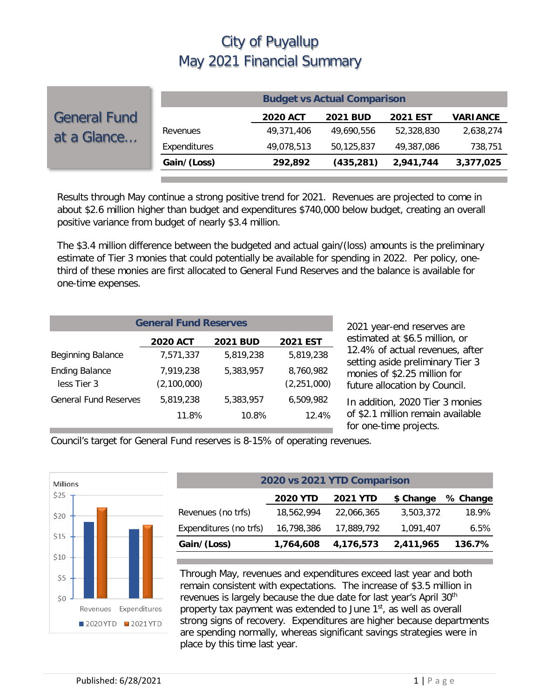|                                    |              |                 | <b>Budget vs Actual Comparison</b> |                 |                 |
|------------------------------------|--------------|-----------------|------------------------------------|-----------------|-----------------|
| <b>General Fund</b><br>at a Glance |              | <b>2020 ACT</b> | <b>2021 BUD</b>                    | <b>2021 EST</b> | <b>VARIANCE</b> |
|                                    | Revenues     | 49,371,406      | 49.690.556                         | 52,328,830      | 2,638,274       |
|                                    | Expenditures | 49,078,513      | 50,125,837                         | 49,387,086      | 738,751         |
|                                    | Gain/(Loss)  | 292,892         | (435, 281)                         | 2,941,744       | 3,377,025       |
|                                    |              |                 |                                    |                 |                 |

Results through May continue a strong positive trend for 2021. Revenues are projected to come in about \$2.6 million higher than budget and expenditures \$740,000 below budget, creating an overall positive variance from budget of nearly \$3.4 million.

The \$3.4 million difference between the budgeted and actual gain/(loss) amounts is the preliminary estimate of Tier 3 monies that could potentially be available for spending in 2022. Per policy, onethird of these monies are first allocated to General Fund Reserves and the balance is available for one-time expenses.

| <b>General Fund Reserves</b>         |                          |                 |                            |  |  |  |
|--------------------------------------|--------------------------|-----------------|----------------------------|--|--|--|
|                                      | <b>2020 ACT</b>          | <b>2021 BUD</b> | 2021 EST                   |  |  |  |
| <b>Beginning Balance</b>             | 7,571,337                | 5,819,238       | 5,819,238                  |  |  |  |
| <b>Ending Balance</b><br>less Tier 3 | 7,919,238<br>(2,100,000) | 5,383,957       | 8,760,982<br>(2, 251, 000) |  |  |  |
| <b>General Fund Reserves</b>         | 5,819,238                | 5,383,957       | 6,509,982                  |  |  |  |
|                                      | 11.8%                    | 10.8%           | 12.4%                      |  |  |  |

2021 year-end reserves are estimated at \$6.5 million, or 12.4% of actual revenues, after setting aside preliminary Tier 3 monies of \$2.25 million for future allocation by Council.

In addition, 2020 Tier 3 monies of \$2.1 million remain available for one-time projects.

Council's target for General Fund reserves is 8-15% of operating revenues.



| 2020 vs 2021 YTD Comparison                                 |            |           |        |  |  |  |  |
|-------------------------------------------------------------|------------|-----------|--------|--|--|--|--|
| <b>2021 YTD</b><br><b>2020 YTD</b><br>% Change<br>\$ Change |            |           |        |  |  |  |  |
| 18,562,994                                                  | 22,066,365 | 3,503,372 | 18.9%  |  |  |  |  |
| 16,798,386                                                  | 17,889,792 | 1,091,407 | 6.5%   |  |  |  |  |
| 1,764,608                                                   | 4,176,573  | 2,411,965 | 136.7% |  |  |  |  |
|                                                             |            |           |        |  |  |  |  |

Through May, revenues and expenditures exceed last year and both remain consistent with expectations. The increase of \$3.5 million in revenues is largely because the due date for last year's April 30<sup>th</sup> property tax payment was extended to June  $1<sup>st</sup>$ , as well as overall strong signs of recovery. Expenditures are higher because departments are spending normally, whereas significant savings strategies were in place by this time last year.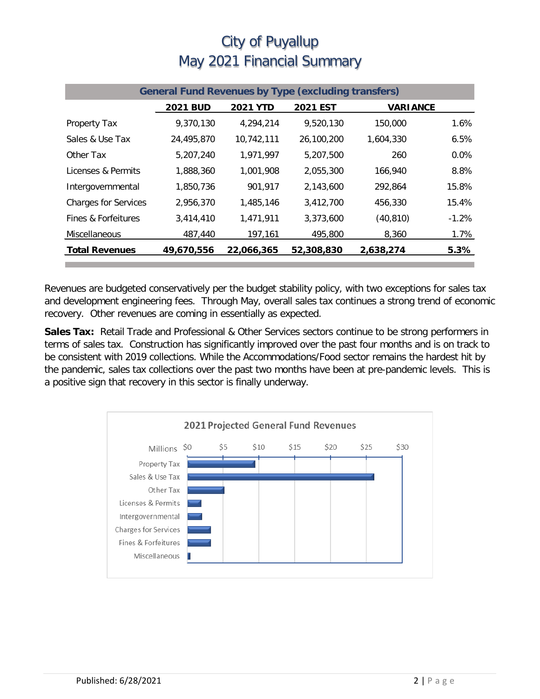| <b>General Fund Revenues by Type (excluding transfers)</b> |                 |                 |            |                 |          |  |
|------------------------------------------------------------|-----------------|-----------------|------------|-----------------|----------|--|
|                                                            | <b>2021 BUD</b> | <b>2021 YTD</b> | 2021 EST   | <b>VARIANCE</b> |          |  |
| <b>Property Tax</b>                                        | 9,370,130       | 4,294,214       | 9,520,130  | 150,000         | 1.6%     |  |
| Sales & Use Tax                                            | 24,495,870      | 10,742,111      | 26,100,200 | 1.604.330       | 6.5%     |  |
| Other Tax                                                  | 5,207,240       | 1,971,997       | 5,207,500  | 260             | $0.0\%$  |  |
| Licenses & Permits                                         | 1,888,360       | 1,001,908       | 2,055,300  | 166.940         | 8.8%     |  |
| Intergovernmental                                          | 1,850,736       | 901,917         | 2,143,600  | 292.864         | 15.8%    |  |
| <b>Charges for Services</b>                                | 2,956,370       | 1.485.146       | 3.412.700  | 456,330         | 15.4%    |  |
| Fines & Forfeitures                                        | 3,414,410       | 1,471,911       | 3,373,600  | (40, 810)       | $-1.2\%$ |  |
| <b>Miscellaneous</b>                                       | 487,440         | 197,161         | 495,800    | 8,360           | 1.7%     |  |
| <b>Total Revenues</b>                                      | 49,670,556      | 22,066,365      | 52,308,830 | 2,638,274       | 5.3%     |  |

Revenues are budgeted conservatively per the budget stability policy, with two exceptions for sales tax and development engineering fees. Through May, overall sales tax continues a strong trend of economic recovery. Other revenues are coming in essentially as expected.

**Sales Tax:** Retail Trade and Professional & Other Services sectors continue to be strong performers in terms of sales tax. Construction has significantly improved over the past four months and is on track to be consistent with 2019 collections. While the Accommodations/Food sector remains the hardest hit by the pandemic, sales tax collections over the past two months have been at pre-pandemic levels. This is a positive sign that recovery in this sector is finally underway.

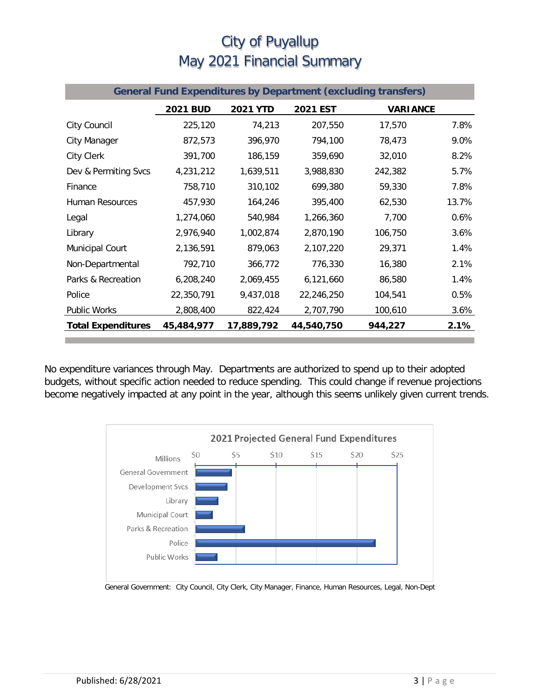| <b>General Fund Expenditures by Department (excluding transfers)</b> |                 |                 |            |                 |       |  |
|----------------------------------------------------------------------|-----------------|-----------------|------------|-----------------|-------|--|
|                                                                      | <b>2021 BUD</b> | <b>2021 YTD</b> | 2021 EST   | <b>VARIANCE</b> |       |  |
| City Council                                                         | 225,120         | 74,213          | 207,550    | 17,570          | 7.8%  |  |
| City Manager                                                         | 872,573         | 396,970         | 794,100    | 78,473          | 9.0%  |  |
| City Clerk                                                           | 391,700         | 186,159         | 359,690    | 32,010          | 8.2%  |  |
| Dev & Permiting Svcs                                                 | 4,231,212       | 1,639,511       | 3,988,830  | 242,382         | 5.7%  |  |
| Finance                                                              | 758,710         | 310,102         | 699,380    | 59,330          | 7.8%  |  |
| <b>Human Resources</b>                                               | 457,930         | 164,246         | 395,400    | 62,530          | 13.7% |  |
| Legal                                                                | 1,274,060       | 540,984         | 1,266,360  | 7,700           | 0.6%  |  |
| Library                                                              | 2,976,940       | 1,002,874       | 2,870,190  | 106,750         | 3.6%  |  |
| Municipal Court                                                      | 2,136,591       | 879,063         | 2,107,220  | 29,371          | 1.4%  |  |
| Non-Departmental                                                     | 792,710         | 366,772         | 776,330    | 16,380          | 2.1%  |  |
| Parks & Recreation                                                   | 6,208,240       | 2,069,455       | 6,121,660  | 86,580          | 1.4%  |  |
| Police                                                               | 22,350,791      | 9,437,018       | 22,246,250 | 104,541         | 0.5%  |  |
| Public Works                                                         | 2,808,400       | 822,424         | 2,707,790  | 100,610         | 3.6%  |  |
| <b>Total Expenditures</b>                                            | 45,484,977      | 17,889,792      | 44,540,750 | 944,227         | 2.1%  |  |

No expenditure variances through May. Departments are authorized to spend up to their adopted budgets, without specific action needed to reduce spending. This could change if revenue projections become negatively impacted at any point in the year, although this seems unlikely given current trends.



General Government: City Council, City Clerk, City Manager, Finance, Human Resources, Legal, Non-Dept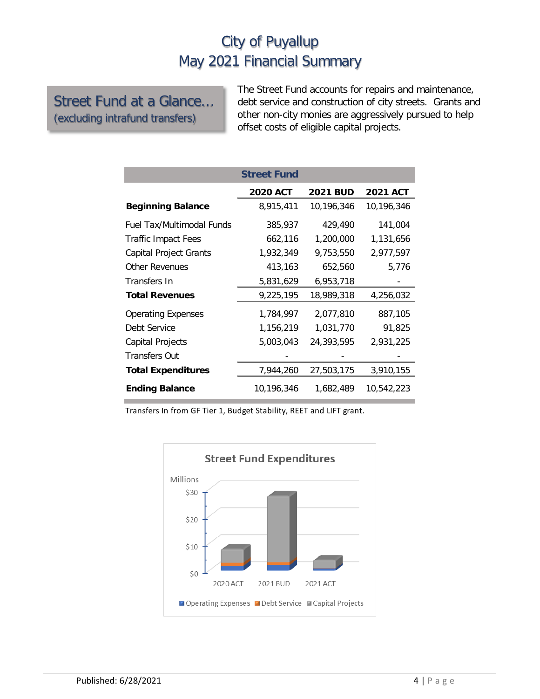#### Street Fund at a Glance… (excluding intrafund transfers)

The Street Fund accounts for repairs and maintenance, debt service and construction of city streets. Grants and other non-city monies are aggressively pursued to help offset costs of eligible capital projects.

|                            | <b>Street Fund</b> |                 |                 |
|----------------------------|--------------------|-----------------|-----------------|
|                            | <b>2020 ACT</b>    | <b>2021 BUD</b> | <b>2021 ACT</b> |
| <b>Beginning Balance</b>   | 8,915,411          | 10,196,346      | 10,196,346      |
| Fuel Tax/Multimodal Funds  | 385,937            | 429,490         | 141,004         |
| <b>Traffic Impact Fees</b> | 662,116            | 1,200,000       | 1,131,656       |
| Capital Project Grants     | 1,932,349          | 9,753,550       | 2,977,597       |
| <b>Other Revenues</b>      | 413,163            | 652,560         | 5,776           |
| Transfers In               | 5,831,629          | 6,953,718       |                 |
| <b>Total Revenues</b>      | 9,225,195          | 18,989,318      | 4,256,032       |
| <b>Operating Expenses</b>  | 1,784,997          | 2,077,810       | 887,105         |
| Debt Service               | 1,156,219          | 1,031,770       | 91,825          |
| Capital Projects           | 5,003,043          | 24,393,595      | 2,931,225       |
| <b>Transfers Out</b>       |                    |                 |                 |
| <b>Total Expenditures</b>  | 7,944,260          | 27,503,175      | 3,910,155       |
| <b>Ending Balance</b>      | 10,196,346         | 1,682,489       | 10,542,223      |

Transfers In from GF Tier 1, Budget Stability, REET and LIFT grant.

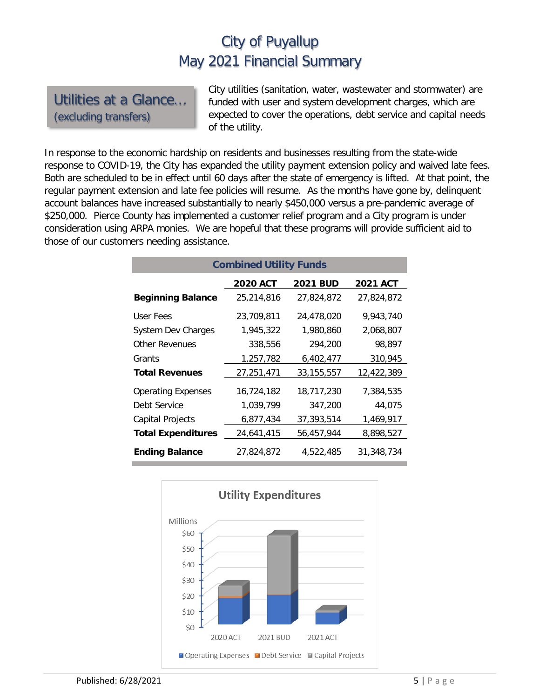Utilities at a Glance… (excluding transfers)

City utilities (sanitation, water, wastewater and stormwater) are funded with user and system development charges, which are expected to cover the operations, debt service and capital needs of the utility.

In response to the economic hardship on residents and businesses resulting from the state-wide response to COVID-19, the City has expanded the utility payment extension policy and waived late fees. Both are scheduled to be in effect until 60 days after the state of emergency is lifted. At that point, the regular payment extension and late fee policies will resume. As the months have gone by, delinquent account balances have increased substantially to nearly \$450,000 versus a pre-pandemic average of \$250,000. Pierce County has implemented a customer relief program and a City program is under consideration using ARPA monies. We are hopeful that these programs will provide sufficient aid to those of our customers needing assistance.

| <b>Combined Utility Funds</b> |                 |                 |                 |  |  |  |  |
|-------------------------------|-----------------|-----------------|-----------------|--|--|--|--|
|                               | <b>2020 ACT</b> | <b>2021 BUD</b> | <b>2021 ACT</b> |  |  |  |  |
| <b>Beginning Balance</b>      | 25,214,816      | 27,824,872      | 27,824,872      |  |  |  |  |
| User Fees                     | 23,709,811      | 24,478,020      | 9,943,740       |  |  |  |  |
| <b>System Dev Charges</b>     | 1,945,322       | 1.980.860       | 2,068,807       |  |  |  |  |
| Other Revenues                | 338,556         | 294,200         | 98.897          |  |  |  |  |
| Grants                        | 1,257,782       | 6,402,477       | 310,945         |  |  |  |  |
| <b>Total Revenues</b>         | 27,251,471      | 33, 155, 557    | 12,422,389      |  |  |  |  |
| <b>Operating Expenses</b>     | 16,724,182      | 18,717,230      | 7.384.535       |  |  |  |  |
| Debt Service                  | 1,039,799       | 347,200         | 44,075          |  |  |  |  |
| Capital Projects              | 6,877,434       | 37,393,514      | 1,469,917       |  |  |  |  |
| <b>Total Expenditures</b>     | 24,641,415      | 56,457,944      | 8,898,527       |  |  |  |  |
| <b>Ending Balance</b>         | 27,824,872      | 4,522,485       | 31,348,734      |  |  |  |  |

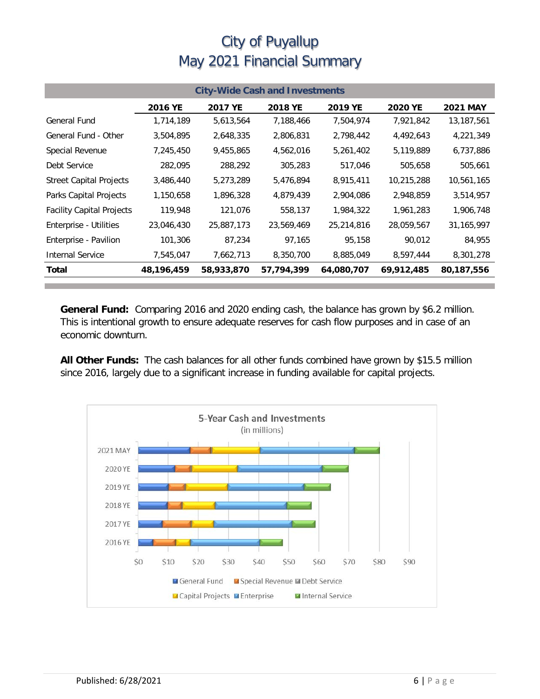| <b>City-Wide Cash and Investments</b> |            |            |            |            |                |                 |  |
|---------------------------------------|------------|------------|------------|------------|----------------|-----------------|--|
|                                       | 2016 YE    | 2017 YE    | 2018 YE    | 2019 YE    | <b>2020 YE</b> | <b>2021 MAY</b> |  |
| <b>General Fund</b>                   | 1,714,189  | 5,613,564  | 7,188,466  | 7,504,974  | 7,921,842      | 13,187,561      |  |
| General Fund - Other                  | 3,504,895  | 2,648,335  | 2,806,831  | 2,798,442  | 4,492,643      | 4,221,349       |  |
| Special Revenue                       | 7,245,450  | 9,455,865  | 4,562,016  | 5,261,402  | 5,119,889      | 6,737,886       |  |
| Debt Service                          | 282,095    | 288,292    | 305,283    | 517,046    | 505,658        | 505,661         |  |
| <b>Street Capital Projects</b>        | 3,486,440  | 5,273,289  | 5,476,894  | 8,915,411  | 10,215,288     | 10,561,165      |  |
| Parks Capital Projects                | 1,150,658  | 1,896,328  | 4,879,439  | 2,904,086  | 2,948,859      | 3,514,957       |  |
| <b>Facility Capital Projects</b>      | 119,948    | 121,076    | 558,137    | 1,984,322  | 1,961,283      | 1,906,748       |  |
| Enterprise - Utilities                | 23,046,430 | 25,887,173 | 23,569,469 | 25,214,816 | 28,059,567     | 31,165,997      |  |
| Enterprise - Pavilion                 | 101,306    | 87,234     | 97,165     | 95,158     | 90,012         | 84,955          |  |
| <b>Internal Service</b>               | 7,545,047  | 7,662,713  | 8,350,700  | 8,885,049  | 8,597,444      | 8,301,278       |  |
| Total                                 | 48,196,459 | 58,933,870 | 57,794,399 | 64,080,707 | 69,912,485     | 80,187,556      |  |

**General Fund:** Comparing 2016 and 2020 ending cash, the balance has grown by \$6.2 million. This is intentional growth to ensure adequate reserves for cash flow purposes and in case of an economic downturn.

**All Other Funds:** The cash balances for all other funds combined have grown by \$15.5 million since 2016, largely due to a significant increase in funding available for capital projects.